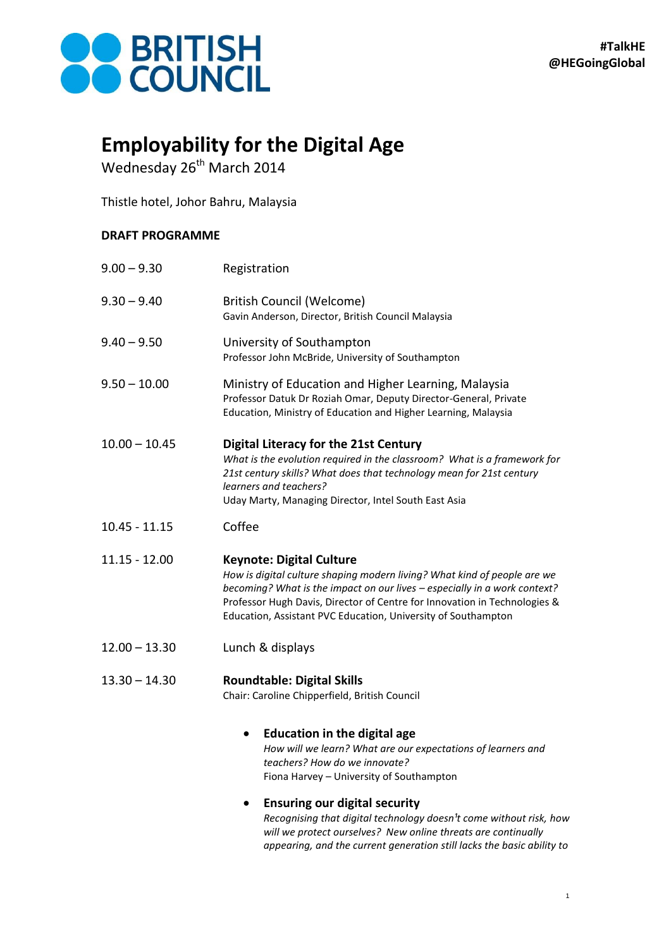

## **Employability for the Digital Age**

Wednesday 26<sup>th</sup> March 2014

Thistle hotel, Johor Bahru, Malaysia

## **DRAFT PROGRAMME**

| $9.00 - 9.30$   | Registration                                                                                                                                                                                                                                                                                                                           |
|-----------------|----------------------------------------------------------------------------------------------------------------------------------------------------------------------------------------------------------------------------------------------------------------------------------------------------------------------------------------|
| $9.30 - 9.40$   | British Council (Welcome)<br>Gavin Anderson, Director, British Council Malaysia                                                                                                                                                                                                                                                        |
| $9.40 - 9.50$   | University of Southampton<br>Professor John McBride, University of Southampton                                                                                                                                                                                                                                                         |
| $9.50 - 10.00$  | Ministry of Education and Higher Learning, Malaysia<br>Professor Datuk Dr Roziah Omar, Deputy Director-General, Private<br>Education, Ministry of Education and Higher Learning, Malaysia                                                                                                                                              |
| $10.00 - 10.45$ | <b>Digital Literacy for the 21st Century</b><br>What is the evolution required in the classroom? What is a framework for<br>21st century skills? What does that technology mean for 21st century<br>learners and teachers?<br>Uday Marty, Managing Director, Intel South East Asia                                                     |
| $10.45 - 11.15$ | Coffee                                                                                                                                                                                                                                                                                                                                 |
| 11.15 - 12.00   | <b>Keynote: Digital Culture</b><br>How is digital culture shaping modern living? What kind of people are we<br>becoming? What is the impact on our lives - especially in a work context?<br>Professor Hugh Davis, Director of Centre for Innovation in Technologies &<br>Education, Assistant PVC Education, University of Southampton |
| $12.00 - 13.30$ | Lunch & displays                                                                                                                                                                                                                                                                                                                       |
| 13.30 – 14.30   | <b>Roundtable: Digital Skills</b><br>Chair: Caroline Chipperfield, British Council                                                                                                                                                                                                                                                     |
|                 | <b>Education in the digital age</b><br>How will we learn? What are our expectations of learners and<br>teachers? How do we innovate?<br>Fiona Harvey - University of Southampton<br><b>Ensuring our digital security</b>                                                                                                               |

*Recognising that digital technology doesn<sup>1</sup>t come without risk, how will we protect ourselves? New online threats are continually appearing, and the current generation still lacks the basic ability to*